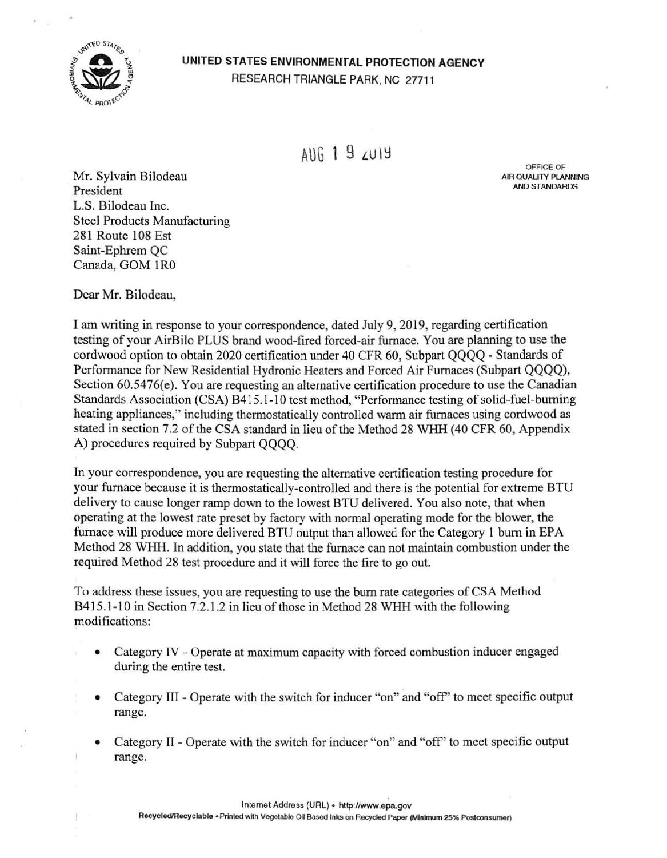

## **UNITED STATES ENVIRONMENTAL PROTECTION AGENCY**  RESEARCH TRIANGLE PARK, NC 27711

 $A||f_1|$  9  $A||f_2|$ 

OFFICE OF AIR QUALITY PLANNING AND STANDARDS

Mr. Sylvain Bilodeau President L.S. Bilodeau Inc. Steel Products Manufacturing 281 Route 108 Est Saint-Ephrem QC Canada, GOM 1R0

Dear Mr. Bilodeau,

I am writing in response to your correspondence, dated July 9, 2019, regarding certification testing of your AirBilo PLUS brand wood-fired forced-air furnace. You are planning to use the cordwood option to obtain 2020 certification under 40 CFR 60, Subpart QQQQ - Standards of Performance for New Residential Hydronic Heaters and Forced Air Furnaces (Subpart QQQQ), Section 60.5476(e). You are requesting an alternative certification procedure to use the Canadian Standards Association (CSA) B415.1-10 test method, "Performance testing of solid-fuel-burning heating appliances," including thermostatically controlled warm air furnaces using cordwood as stated in section 7.2 of the CSA standard in lieu of the Method 28 WHH (40 CFR 60, Appendix A) procedures required by Subpart QQQQ.

In your correspondence, you are requesting the alternative certification testing procedure for your furnace because it is thermostatically-controlled and there is the potential for extreme BTU delivery to cause longer ramp down to the lowest BTU delivered. You also note, that when operating at the lowest rate preset by factory with normal operating mode for the blower, the furnace will produce more delivered BTU output than allowed for the Category 1 burn in EPA Method 28 WHH. In addition, you state that the furnace can not maintain combustion under the required Method 28 test procedure and it will force the fire to go out.

To address these issues, you are requesting to use the burn rate categories of CSA Method B415. l-10 in Section 7.2.1.2 in lieu of those in Method 28 WHH with the following modifications:

- Category IV Operate at maximum capacity with forced combustion inducer engaged during the entire test.
- Category III Operate with the switch for inducer "on" and "off' to meet specific output range.
- Category II Operate with the switch for inducer "on" and "off' to meet specific output range.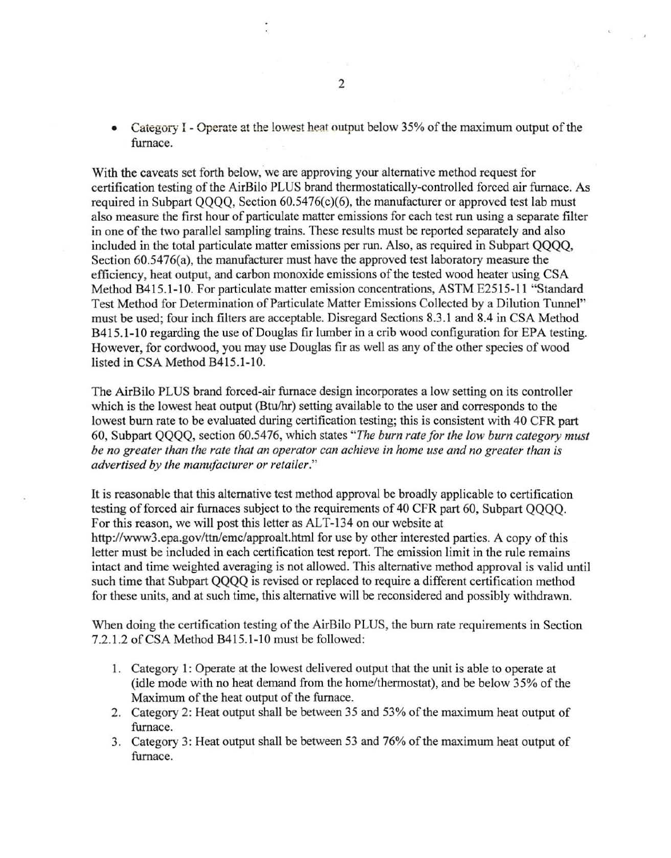Category I - Operate at the lowest heat output below 35% of the maximum output of the furnace.

With the caveats set forth below, we are approving your alternative method request for certification testing of the AirBilo PLUS brand thermostatically-controlled forced air furnace. As required in Subpart QQQQ, Section 60.5476(c)(6), the manufacturer or approved test lab must also measure the first hour of particulate matter emissions for each test run using a separate filter in one of the two parallel sampling trains. These results must be reported separately and also included in the total particulate matter emissions per run. Also, as required in Subpart QQQQ, Section 60.5476(a), the manufacturer must have the approved test laboratory measure the efficiency, heat output, and carbon monoxide emissions of the tested wood heater using CSA Method B415.1-10. For particulate matter emission concentrations, ASTM E2515-11 "Standard Test Method for Determination of Particulate Matter Emissions Collected by a Dilution Tunnel" must be used; four inch filters are acceptable. Disregard Sections 8.3. l and 8.4 in CSA Method B415.1-10 regarding the use of Douglas fir lumber in a crib wood configuration for EPA testing. However, for cordwood, you may use Douglas fir as well as any of the other species of wood listed in CSA Method B415.1-10.

The AirBilo PLUS brand forced-air furnace design incorporates a low setting on its controller which is the lowest heat output (Btu/hr) setting available to the user and corresponds to the lowest burn rate to be evaluated during certification testing; this is consistent with 40 CFR part 60, Subpart QQQQ, section 60.5476, which states *"The burn rate for the low burn category must be no greater than the rate that an operator can achieve in home use and no greater than is advertised by the manufacturer or retailer."* 

It is reasonable that this alternative test method approval be broadly applicable to certification testing of forced air furnaces subject to the requirements of 40 CFR part 60, Subpart QQQQ. For this reason, we will post this letter as ALT-134 on our website at http://www3.epa.gov/ttn/emc/approalt.htm1 for use by other interested parties. A copy of this letter must be included in each certification test report. The emission limit in the rule remains intact and time weighted averaging is not allowed. This alternative method approval is valid until such time that Subpart QQQQ is revised or replaced to require a different certification method for these units, and at such time, this alternative will be reconsidered and possibly withdrawn.

When doing the certification testing of the AirBilo PLUS, the burn rate requirements in Section 7.2.1.2 of CSA Method B415.1-10 must be followed:

- 1. Category 1: Operate at the lowest delivered output that the unit is able to operate at (idle mode with no heat demand from the home/thermostat), and be below 35% of the Maximum of the heat output of the furnace.
- 2. Category 2: Heat output shall be between 35 and 53% of the maximum heat output of furnace.
- 3. Category 3: Heat output shall be between 53 and 76% of the maximum heat output of furnace.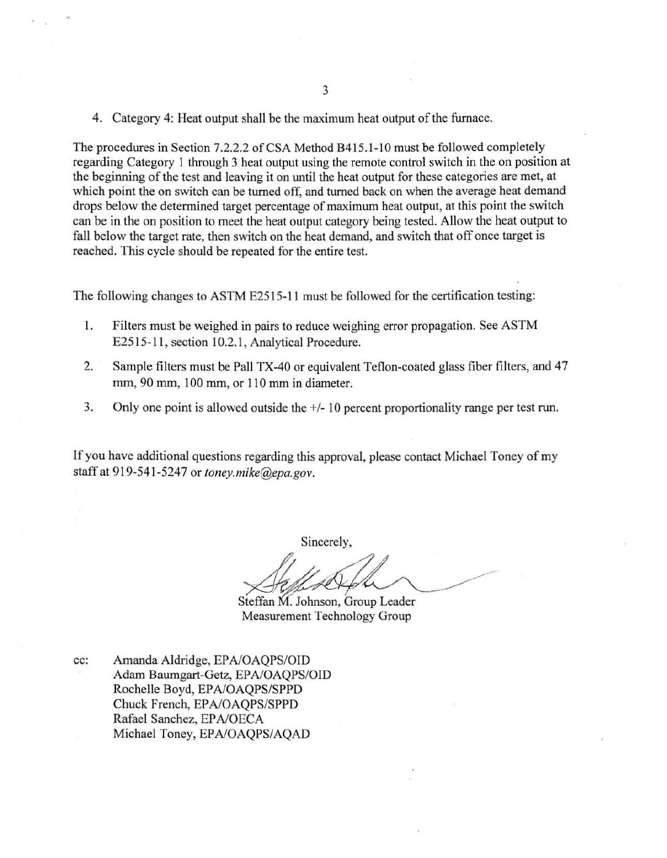4. Category 4: Heat output shall be the maximum heat output of the furnace.

The procedures in Section 7.2.2.2 of CSA Method B415.1-10 must be followed completely regarding Category I through 3 heat output using the remote control switch in the on position at the beginning of the test and leaving it on until the heat output for these categories are met, at which point the on switch can be turned off, and turned back on when the average heat demand drops below the determined target percentage of maximum heat output, at this point the switch can be in the on position to meet the heat output category being tested. Allow the heat output to fall below the target rate, then switch on the heat demand, and switch that off once target is reached. This cycle should be repeated for the entire test.

The following changes to ASTM E2515-11 must be followed for the certification testing:

- 1. Filters must be weighed in pairs to reduce weighing error propagation. See ASTM E2515-11, section 10.2.1, Analytical Procedure.
- 2. Sample filters must be Pall TX-40 or equivalent Teflon-coated glass fiber filters, and 47 mm, 90 mm, 100 mm, or 110 mm in diameter.
- 3. Only one point is allowed outside the +/- 10 percent proportionality range per test run.

If you have additional questions regarding this approval, please contact Michael Toney of my staff at 919-541-5247 or *toney.mike@epa.gov.* 

Sincerely,

Steffan M. Johnson, Group Leader Measurement Technology Group

cc: Amanda Aldridge, EPA/OAQPS/OID Adam Baumgart-Getz, EPA/OAQPS/OID Rochelle Boyd, EP A/OAQPS/SPPD Chuck French, EPA/OAOPS/SPPD Rafael Sanchez, EP A/OECA Michael Toney, EPA/OAQPS/AQAD